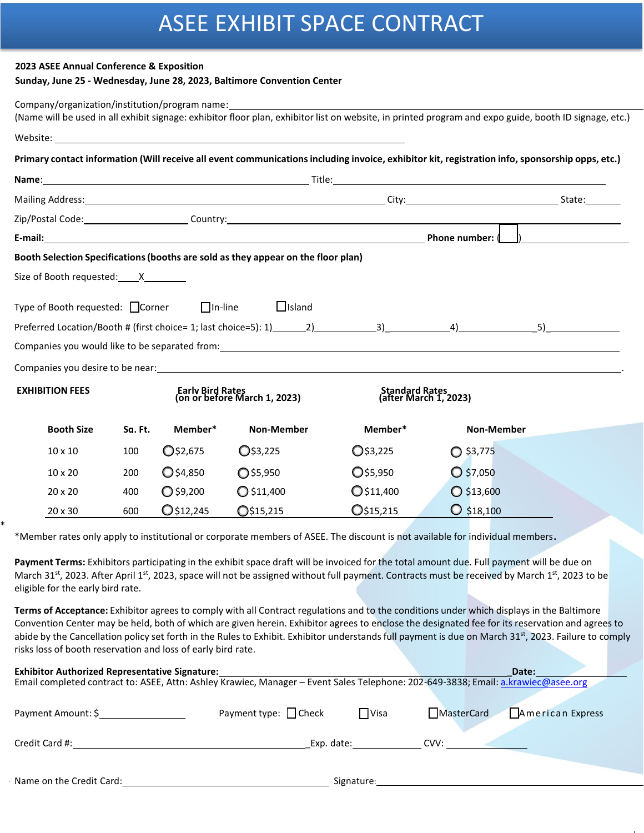# ASEE EXHIBIT SPACE CONTRACT

### **2023 ASEE Annual Conference & Exposition**

\*

## **Sunday, June 25 - Wednesday, June 28, 2023, Baltimore Convention Center**

| Company/organization/institution/program name: |         |                                                  |                                                                                                                                                                                                                                      |                                         | (Name will be used in all exhibit signage: exhibitor floor plan, exhibitor list on website, in printed program and expo guide, booth ID signage, etc.)                                                                         |  |
|------------------------------------------------|---------|--------------------------------------------------|--------------------------------------------------------------------------------------------------------------------------------------------------------------------------------------------------------------------------------------|-----------------------------------------|--------------------------------------------------------------------------------------------------------------------------------------------------------------------------------------------------------------------------------|--|
|                                                |         |                                                  | Website: <u>2008 - 2008 - 2008 - 2009 - 2009 - 2009 - 2009 - 2009 - 2009 - 2009 - 2009 - 2009 - 2009 - 2009 - 2009 - 2009 - 2009 - 2009 - 2009 - 2009 - 2009 - 2009 - 2009 - 2009 - 2009 - 2009 - 2009 - 2009 - 2009 - 2009 - 20</u> |                                         |                                                                                                                                                                                                                                |  |
|                                                |         |                                                  |                                                                                                                                                                                                                                      |                                         | Primary contact information (Will receive all event communications including invoice, exhibitor kit, registration info, sponsorship opps, etc.)                                                                                |  |
|                                                |         |                                                  |                                                                                                                                                                                                                                      |                                         |                                                                                                                                                                                                                                |  |
|                                                |         |                                                  |                                                                                                                                                                                                                                      |                                         | Mailing Address: State: State: State: State: State: State: State: State: State: State: State: State: State: State: State: State: State: State: State: State: State: State: State: State: State: State: State: State: State: St |  |
|                                                |         |                                                  |                                                                                                                                                                                                                                      |                                         |                                                                                                                                                                                                                                |  |
|                                                |         |                                                  |                                                                                                                                                                                                                                      | Phone number: (                         |                                                                                                                                                                                                                                |  |
|                                                |         |                                                  | Booth Selection Specifications (booths are sold as they appear on the floor plan)                                                                                                                                                    |                                         |                                                                                                                                                                                                                                |  |
| Size of Booth requested: X                     |         |                                                  |                                                                                                                                                                                                                                      |                                         |                                                                                                                                                                                                                                |  |
| Type of Booth requested: □ Corner □ □ In-line  |         |                                                  | $\Box$ Island                                                                                                                                                                                                                        |                                         |                                                                                                                                                                                                                                |  |
|                                                |         |                                                  |                                                                                                                                                                                                                                      |                                         |                                                                                                                                                                                                                                |  |
|                                                |         |                                                  |                                                                                                                                                                                                                                      |                                         | Companies you would like to be separated from: example and the set of the set of the set of the separated from:                                                                                                                |  |
|                                                |         |                                                  |                                                                                                                                                                                                                                      |                                         | Companies you desire to be near: example and the set of the set of the set of the set of the set of the set of the set of the set of the set of the set of the set of the set of the set of the set of the set of the set of t |  |
| <b>EXHIBITION FEES</b>                         |         | Early Bird Rates<br>(on or before March 1, 2023) |                                                                                                                                                                                                                                      | Standard Rates<br>(after March 1, 2023) |                                                                                                                                                                                                                                |  |
| <b>Booth Size</b>                              | Sq. Ft. | Member*                                          | <b>Non-Member</b>                                                                                                                                                                                                                    | Member*                                 | <b>Non-Member</b>                                                                                                                                                                                                              |  |
| $10 \times 10$                                 | 100     | O\$2,675                                         | $\bigcirc$ \$3,225                                                                                                                                                                                                                   | $Q$ \$3,225                             | $O$ \$3,775                                                                                                                                                                                                                    |  |
| $10 \times 20$                                 | 200     | $O$ \$4,850                                      | $O$ \$5,950                                                                                                                                                                                                                          | $Q$ \$5,950                             | $O$ \$7,050                                                                                                                                                                                                                    |  |
| $20 \times 20$                                 | 400     | $O$ \$9,200                                      | $O$ \$11,400                                                                                                                                                                                                                         | $Q$ \$11,400                            | $O$ \$13,600                                                                                                                                                                                                                   |  |
| $20 \times 30$                                 | 600     | $Q$ \$12,245                                     | $Q$ \$15,215                                                                                                                                                                                                                         | $\mathbb{O}$ \$15,215                   | $\bigcirc$ \$18,100                                                                                                                                                                                                            |  |
|                                                |         |                                                  |                                                                                                                                                                                                                                      |                                         |                                                                                                                                                                                                                                |  |

\*Member rates only apply to institutional or corporate members of ASEE. The discount is not available for individual members**.**

**Payment Terms:** Exhibitors participating in the exhibit space draft will be invoiced for the total amount due. Full payment will be due on March 31<sup>st</sup>, 2023. After April 1<sup>st</sup>, 2023, space will not be assigned without full payment. Contracts must be received by March 1<sup>st</sup>, 2023 to be eligible for the early bird rate.

**Terms of Acceptance:** Exhibitor agrees to comply with all Contract regulations and to the conditions under which displays in the Baltimore Convention Center may be held, both of which are given herein. Exhibitor agrees to enclose the designated fee for its reservation and agrees to abide by the Cancellation policy set forth in the Rules to Exhibit. Exhibitor understands full payment is due on March 31<sup>st</sup>, 2023. Failure to comply risks loss of booth reservation and loss of early bird rate.

| Exhibitor Authorized Representative Signature:                                                                                    | Date:                      |             |                                |
|-----------------------------------------------------------------------------------------------------------------------------------|----------------------------|-------------|--------------------------------|
| Email completed contract to: ASEE, Attn: Ashley Krawiec, Manager - Event Sales Telephone: 202-649-3838; Email: a.krawiec@asee.org |                            |             |                                |
|                                                                                                                                   |                            |             |                                |
| Payment Amount: \$                                                                                                                | Payment type: $\Box$ Check | $\Box$ Visa | MasterCard<br>American Express |
|                                                                                                                                   |                            |             |                                |
| Credit Card #:                                                                                                                    | Exp. date:                 |             | CVV:                           |
|                                                                                                                                   |                            |             |                                |
|                                                                                                                                   |                            |             |                                |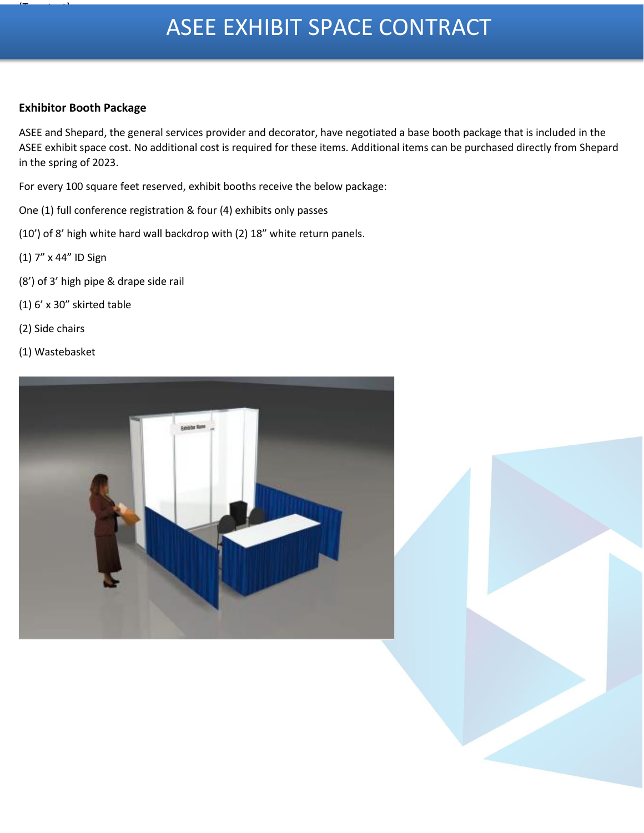# ASEE EXHIBIT SPACE CONTRACT

## **Exhibitor Booth Package**

[Type text]

ASEE and Shepard, the general services provider and decorator, have negotiated a base booth package that is included in the ASEE exhibit space cost. No additional cost is required for these items. Additional items can be purchased directly from Shepard in the spring of 2023.

For every 100 square feet reserved, exhibit booths receive the below package:

One (1) full conference registration & four (4) exhibits only passes

(10') of 8' high white hard wall backdrop with (2) 18" white return panels.

- (1) 7" x 44" ID Sign
- (8') of 3' high pipe & drape side rail
- (1) 6' x 30" skirted table
- (2) Side chairs
- (1) Wastebasket